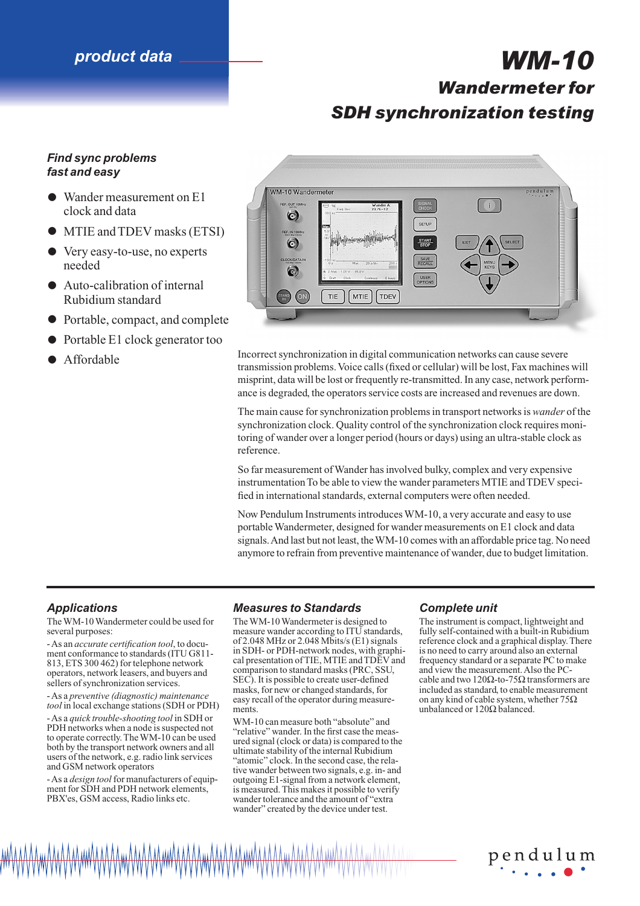# *product data WM-10*

# *Wandermeter for SDH synchronization testing*

# *Find sync problems fast and easy*

- Wander measurement on E1 clock and data
- MTIE and TDEV masks (ETSI)
- Very easy-to-use, no experts needed
- Auto-calibration of internal Rubidium standard
- Portable, compact, and complete
- Portable E1 clock generator too<br>Affordable
- 



• Affordable Incorrect synchronization in digital communication networks can cause severe transmission problems. Voice calls (fixed or cellular) will be lost, Fax machines will misprint, data will be lost or frequently re-transmitted. In any case, network performance is degraded, the operators service costs are increased and revenues are down.

> The main cause for synchronization problems in transport networks is *wander* of the synchronization clock. Quality control of the synchronization clock requires monitoring of wander over a longer period (hours or days) using an ultra-stable clock as reference.

So far measurement of Wander has involved bulky, complex and very expensive instrumentation To be able to view the wander parameters MTIE and TDEV specified in international standards, external computers were often needed.

Now Pendulum Instruments introduces WM-10, a very accurate and easy to use portable Wandermeter, designed for wander measurements on E1 clock and data signals. And last but not least, the WM-10 comes with an affordable price tag. No need anymore to refrain from preventive maintenance of wander, due to budget limitation.

# *Applications*

The WM-10 Wandermeter could be used for several purposes:

- As an *accurate certification tool*, to document conformance to standards (ITU G811- 813, ETS 300 462) for telephone network operators, network leasers, and buyers and sellers of synchronization services.

- As a *preventive (diagnostic) maintenance tool* in local exchange stations (SDH or PDH)

- As a *quick trouble-shooting tool* in SDH or PDH networks when a node is suspected not to operate correctly. The WM-10 can be used both by the transport network owners and all users of the network, e.g. radio link services and GSM network operators

- As a *design tool* for manufacturers of equipment for SDH and PDH network elements, PBX'es, GSM access, Radio links etc.

# *Measures to Standards*

The WM-10 Wandermeter is designed to measure wander according to ITU standards, of 2.048 MHz or 2.048 Mbits/s (E1) signals in SDH- or PDH-network nodes, with graphical presentation of TIE, MTIE and TDEV and comparison to standard masks (PRC, SSU, SEC). It is possible to create user-defined masks, for new or changed standards, for easy recall of the operator during measurements.

WM-10 can measure both "absolute" and "relative" wander. In the first case the measured signal (clock or data) is compared to the ultimate stability of the internal Rubidium "atomic" clock. In the second case, the relative wander between two signals, e.g. in- and outgoing E1-signal from a network element, is measured. This makes it possible to verify wander tolerance and the amount of "extra wander" created by the device under test.

# *Complete unit*

The instrument is compact, lightweight and fully self-contained with a built-in Rubidium reference clock and a graphical display. There is no need to carry around also an external frequency standard or a separate PC to make and view the measurement. Also the PCcable and two 120Ω-to-75Ω transformers are included as standard, to enable measurement on any kind of cable system, whether 75Ω unbalanced or 120Ω balanced.

pendulum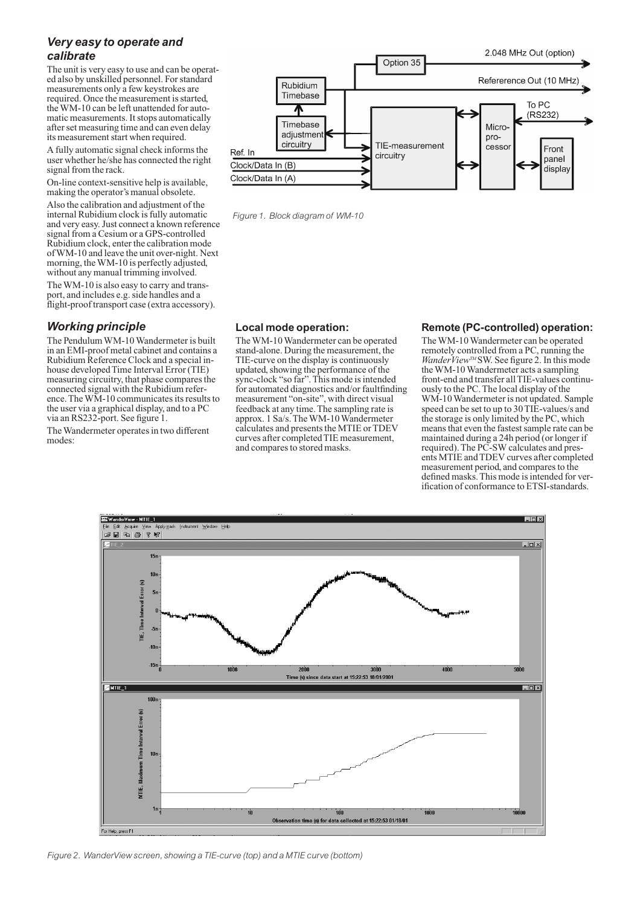# *Very easy to operate and calibrate*

The unit is very easy to use and can be operated also by unskilled personnel. For standard measurements only a few keystrokes are required. Once the measurement is started, the WM-10 can be left unattended for automatic measurements. It stops automatically after set measuring time and can even delay its measurement start when required.

A fully automatic signal check informs the user whether he/she has connected the right signal from the rack.

On-line context-sensitive help is available, making the operator's manual obsolete.

Also the calibration and adjustment of the internal Rubidium clock is fully automatic and very easy. Just connect a known reference signal from a Cesium or a GPS-controlled Rubidium clock, enter the calibration mode of WM-10 and leave the unit over-night. Next morning, the WM-10 is perfectly adjusted, without any manual trimming involved.

The WM-10 is also easy to carry and transport, and includes e.g. side handles and a flight-proof transport case (extra accessory).

# *Working principle*

The Pendulum WM-10 Wandermeter is built in an EMI-proof metal cabinet and contains a Rubidium Reference Clock and a special inhouse developed Time Interval Error (TIE) measuring circuitry, that phase compares the connected signal with the Rubidium reference. The WM-10 communicates its results to the user via a graphical display, and to a PC via an RS232-port. See figure 1.

The Wandermeter operates in two different modes:



*Figure 1. Block diagram of WM-10*

### **Local mode operation:**

The WM-10 Wandermeter can be operated stand-alone. During the measurement, the TIE-curve on the display is continuously updated, showing the performance of the sync-clock "so far". This mode is intended for automated diagnostics and/or faultfinding measurement "on-site", with direct visual feedback at any time. The sampling rate is approx. 1 Sa/s. The WM-10 Wandermeter calculates and presents the MTIE or TDEV curves after completed TIE measurement, and compares to stored masks.

### **Remote (PC-controlled) operation:**

The WM-10 Wandermeter can be operated remotely controlled from a PC, running the *WanderView™* SW. See figure 2. In this mode the WM-10 Wandermeter acts a sampling front-end and transfer all TIE-values continuously to the PC. The local display of the WM-10 Wandermeter is not updated. Sample speed can be set to up to 30 TIE-values/s and the storage is only limited by the PC, which means that even the fastest sample rate can be maintained during a 24h period (or longer if required). The PC-SW calculates and presents MTIE and TDEV curves after completed measurement period, and compares to the defined masks. This mode is intended for verification of conformance to ETSI-standards.



*Figure 2. WanderView screen, showing a TIE-curve (top) and a MTIE curve (bottom)*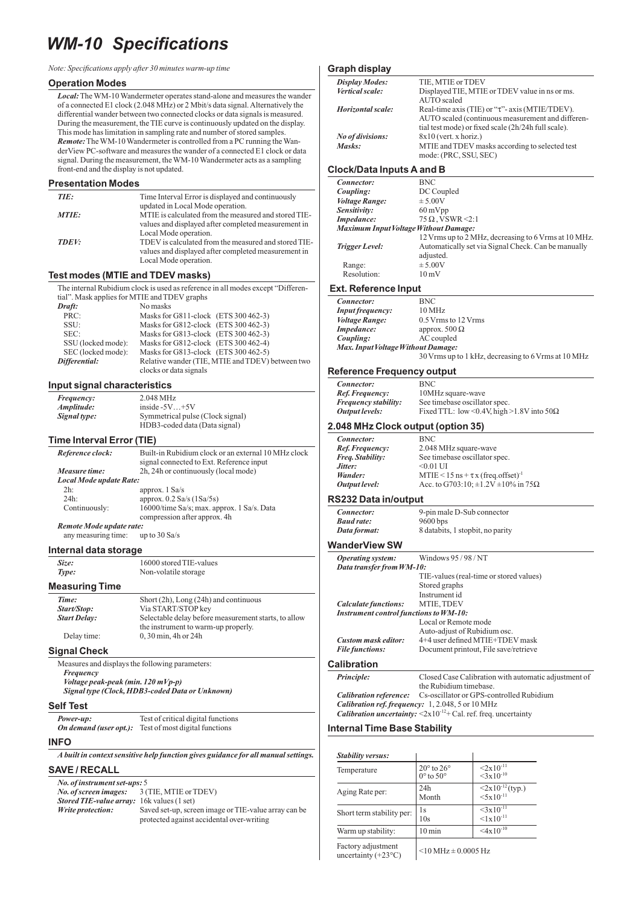# *WM-10 Specifications*

| Note: Specifications apply after 30 minutes warm-up time |  |  |  |
|----------------------------------------------------------|--|--|--|
|----------------------------------------------------------|--|--|--|

#### **Operation Modes**

*Local:*The WM-10 Wandermeter operates stand-alone and measures the wander of a connected E1 clock (2.048 MHz) or 2 Mbit/s data signal. Alternatively the differential wander between two connected clocks or data signals is measured. During the measurement, the TIE curve is continuously updated on the display. This mode has limitation in sampling rate and number of stored samples. *Remote:*The WM-10 Wandermeter is controlled from a PC running the WanderView PC-software and measures the wander of a connected E1 clock or data signal. During the measurement, the WM-10 Wandermeter acts as a sampling front-end and the display is not updated.

#### **Presentation Modes**

| TIE:  | Time Interval Error is displayed and continuously                                                                                    |
|-------|--------------------------------------------------------------------------------------------------------------------------------------|
| MTIE: | updated in Local Mode operation.<br>MTIE is calculated from the measured and stored TIE-                                             |
|       | values and displayed after completed measurement in<br>Local Mode operation.                                                         |
| TDEV: | TDEV is calculated from the measured and stored TIE-<br>values and displayed after completed measurement in<br>Local Mode operation. |
|       |                                                                                                                                      |

#### **Test modes (MTIE and TDEV masks)**

The internal Rubidium clock is used as reference in all modes except "Differential". Mask applies for MTIE and TDEV graphs<br> **Draft:** No masks *Draft:* No masks PRC: Masks for G811-clock (ETS 300 462-3) SSU: Masks for G812-clock (ETS 300 462-3)

| SEC:               | Masks for G813-clock (ETS 300 462-3)             |
|--------------------|--------------------------------------------------|
| SSU (locked mode): | Masks for G812-clock $(ETS 300 462-4)$           |
| SEC (locked mode): | Masks for G813-clock (ETS 300 462-5)             |
| Differential:      | Relative wander (TIE, MTIE and TDEV) between two |
|                    | clocks or data signals                           |

#### **Input signal characteristics**

| Frequency:   | 2.048 MHz                        |
|--------------|----------------------------------|
| Amplitude:   | inside $-5V+5V$                  |
| Signal type: | Symmetrical pulse (Clock signal) |
|              | HDB3-coded data (Data signal)    |

#### **Time Interval Error (TIE)**

| Reference clock:               | Built-in Rubidium clock or an external 10 MHz clock<br>signal connected to Ext. Reference input |  |
|--------------------------------|-------------------------------------------------------------------------------------------------|--|
| Measure time:                  | 2h, 24h or continuously (local mode)                                                            |  |
| Local Mode update Rate:        |                                                                                                 |  |
| 2h:                            | approx. $1$ Sa/s                                                                                |  |
| $24h$ :                        | approx. $0.2$ Sa/s $(1$ Sa/5s)                                                                  |  |
| Continuously:                  | 16000/time Sa/s; max. approx. 1 Sa/s. Data<br>compression after approx. 4h                      |  |
| <b>n</b> . <b>1</b> <i>f</i> f |                                                                                                 |  |

*Remote Mode update rate:* any measuring time:

#### **Internal data storage**

*Size:* 16000 stored TIE-values **Type:** Non-volatile storage **Measuring Time**

| Time:               | Short $(2h)$ , Long $(24h)$ and continuous           |
|---------------------|------------------------------------------------------|
| Start/Stop:         | Via START/STOP kev                                   |
| <b>Start Delay:</b> | Selectable delay before measurement starts, to allow |
|                     | the instrument to warm-up properly.                  |
| Delay time:         | 0, 30 min, 4h or 24h                                 |

#### **Signal Check**

| .                                               |
|-------------------------------------------------|
| Measures and displays the following parameters: |
| Frequency                                       |
| Voltage peak-peak (min. $120$ mVp-p)            |
| Signal type (Clock, HDB3-coded Data or Unknown) |
|                                                 |

#### **Self Test**

*Power-up:* Test of critical digital functions *On demand (user opt.):* Test of most digital functions

#### **INFO**

*A built in context sensitive help function gives guidance for all manual settings.*

#### **SAVE / RECALL**

| No. of instrument set-ups: 5                       |                                                      |  |
|----------------------------------------------------|------------------------------------------------------|--|
| <i>No. of screen images:</i> 3 (TIE, MTIE or TDEV) |                                                      |  |
| <b>Stored TIE-value array:</b> 16k values (1 set)  |                                                      |  |
| Write protection:                                  | Saved set-up, screen image or TIE-value array can be |  |
|                                                    | protected against accidental over-writing            |  |

#### **Graph display**

| <b>Display Modes:</b> | TIE, MTIE or TDEV                                     |
|-----------------------|-------------------------------------------------------|
| Vertical scale:       | Displayed TIE, MTIE or TDEV value in ns or ms.        |
|                       | AUTO scaled                                           |
| Horizontal scale:     | Real-time axis (TIE) or " $\tau$ "- axis (MTIE/TDEV). |
|                       | AUTO scaled (continuous measurement and differen-     |
|                       | tial test mode) or fixed scale (2h/24h full scale).   |
| No of divisions:      | $8x10$ (vert. x horiz.)                               |
| Masks:                | MTIE and TDEV masks according to selected test        |
|                       | mode: (PRC, SSU, SEC)                                 |
|                       |                                                       |

# **Clock/Data Inputs A and B**

| Connector:                                   | <b>BNC</b>                                           |  |
|----------------------------------------------|------------------------------------------------------|--|
| Coupling:                                    | DC Coupled                                           |  |
| <b>Voltage Range:</b>                        | $\pm$ 5.00V                                          |  |
| Sensitivity:                                 | $60 \,\mathrm{mVpp}$                                 |  |
| Impedance:                                   | $75 \Omega$ , VSWR <2:1                              |  |
| <b>Maximum Input Voltage Without Damage:</b> |                                                      |  |
|                                              | 12 Vrms up to 2 MHz, decreasing to 6 Vrms at 10 MHz. |  |
| Trigger Level:                               | Automatically set via Signal Check. Can be manually  |  |
|                                              | adjusted.                                            |  |
| Range:                                       | $\pm$ 5.00V                                          |  |
| Resolution:                                  | $10 \,\mathrm{mV}$                                   |  |
|                                              |                                                      |  |

#### **Ext. Reference Input**

| Connector:                         | <b>BNC</b>                                          |  |
|------------------------------------|-----------------------------------------------------|--|
| <b>Input frequency:</b>            | $10 \text{ MHz}$                                    |  |
| <i>Voltage Range:</i>              | 0.5 Vrms to 12 Vrms                                 |  |
| Impedance:                         | approx. $500 \Omega$                                |  |
| Coupling:                          | AC coupled                                          |  |
| Max. Input Voltage Without Damage: |                                                     |  |
|                                    | 30 Vrms up to 1 kHz, decreasing to 6 Vrms at 10 MHz |  |

#### **Reference Frequency output**

| Connector:                  | <b>BNC</b>                                       |
|-----------------------------|--------------------------------------------------|
| Ref. Frequency:             | 10MHz square-wave                                |
| <i>Frequency stability:</i> | See timebase oscillator spec.                    |
| Output levels:              | Fixed TTL: low <0.4V, high >1.8V into $50\Omega$ |

#### **2.048 MHz Clock output (option 35)**

| <b>BNC</b>                                          |
|-----------------------------------------------------|
| 2.048 MHz square-wave                               |
| See timebase oscillator spec.                       |
| $< 0.01$ UI                                         |
| MTIE < 15 ns + $\tau$ x (freq.offset) <sup>-1</sup> |
| Acc. to G703:10; $\pm 1.2V \pm 10\%$ in 75 $\Omega$ |
|                                                     |

#### **RS232 Data in/output**

| Connector:   | 9-pin male D-Sub connector       |  |
|--------------|----------------------------------|--|
| Baud rate:   | $9600$ bps                       |  |
| Data format: | 8 databits, 1 stopbit, no parity |  |

### **WanderView SW**

 $Con$ <br>*Ref.* 

| Operating system:                             | Windows 95/98/NT                        |  |  |
|-----------------------------------------------|-----------------------------------------|--|--|
| Data transfer from WM-10:                     |                                         |  |  |
|                                               | TIE-values (real-time or stored values) |  |  |
|                                               | Stored graphs                           |  |  |
|                                               | Instrument id                           |  |  |
| <b>Calculate functions:</b>                   | MTIE, TDEV                              |  |  |
| <b>Instrument control functions to WM-10:</b> |                                         |  |  |
|                                               | Local or Remote mode                    |  |  |
|                                               | Auto-adjust of Rubidium osc.            |  |  |
| <b>Custom mask editor:</b>                    | 4+4 user defined MTIE+TDEV mask         |  |  |
| <b>File functions:</b>                        | Document printout, File save/retrieve   |  |  |
|                                               |                                         |  |  |

#### **Calibration**

*Principle:* Closed Case Calibration with automatic adjustment of the Rubidium timebase. *Calibration reference:* Cs-oscillator or GPS-controlled Rubidium *Calibration ref. frequency:* 1, 2.048, 5 or 10 MHz<br>*Calibration uncertainty:* <2x10<sup>-12</sup>+ Cal. ref. freq. uncertainty

#### **Internal Time Base Stability**

| Stability versus:                                  |                                                         |                                                  |
|----------------------------------------------------|---------------------------------------------------------|--------------------------------------------------|
| Temperature                                        | $20^{\circ}$ to $26^{\circ}$<br>$0^\circ$ to $50^\circ$ | $2x10^{-11}$<br>$\frac{1}{3x}$ 10 <sup>-10</sup> |
| Aging Rate per:                                    | 24h<br>Month                                            | $\langle 2x10^{-12}$ (typ.)<br>$5x10^{-11}$      |
| Short term stability per:                          | 1s<br>10s                                               | $3x10^{-11}$<br>$< 1 \times 10^{-11}$            |
| Warm up stability:                                 | $10 \text{ min}$                                        | $<$ 4x10 <sup>-10</sup>                          |
| Factory adjustment<br>uncertainty $(+23^{\circ}C)$ | $<$ 10 MHz $\pm$ 0.0005 Hz                              |                                                  |